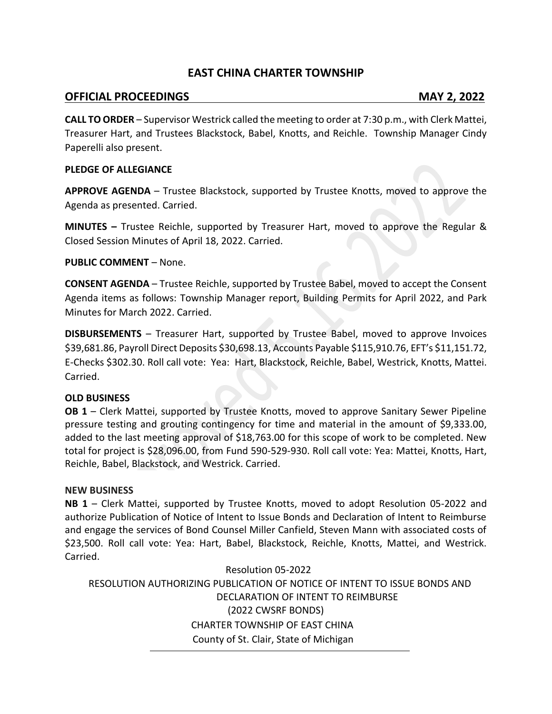## **EAST CHINA CHARTER TOWNSHIP**

## **OFFICIAL PROCEEDINGS MAY 2, 2022**

**CALL TO ORDER** – Supervisor Westrick called the meeting to order at 7:30 p.m., with Clerk Mattei, Treasurer Hart, and Trustees Blackstock, Babel, Knotts, and Reichle. Township Manager Cindy Paperelli also present.

#### **PLEDGE OF ALLEGIANCE**

**APPROVE AGENDA** – Trustee Blackstock, supported by Trustee Knotts, moved to approve the Agenda as presented. Carried.

**MINUTES –** Trustee Reichle, supported by Treasurer Hart, moved to approve the Regular & Closed Session Minutes of April 18, 2022. Carried.

### **PUBLIC COMMENT** – None.

**CONSENT AGENDA** – Trustee Reichle, supported by Trustee Babel, moved to accept the Consent Agenda items as follows: Township Manager report, Building Permits for April 2022, and Park Minutes for March 2022. Carried.

**DISBURSEMENTS** – Treasurer Hart, supported by Trustee Babel, moved to approve Invoices \$39,681.86, Payroll Direct Deposits \$30,698.13, Accounts Payable \$115,910.76, EFT's \$11,151.72, E-Checks \$302.30. Roll call vote: Yea: Hart, Blackstock, Reichle, Babel, Westrick, Knotts, Mattei. Carried.

#### **OLD BUSINESS**

**OB 1** – Clerk Mattei, supported by Trustee Knotts, moved to approve Sanitary Sewer Pipeline pressure testing and grouting contingency for time and material in the amount of \$9,333.00, added to the last meeting approval of \$18,763.00 for this scope of work to be completed. New total for project is \$28,096.00, from Fund 590-529-930. Roll call vote: Yea: Mattei, Knotts, Hart, Reichle, Babel, Blackstock, and Westrick. Carried.

### **NEW BUSINESS**

**NB 1** – Clerk Mattei, supported by Trustee Knotts, moved to adopt Resolution 05-2022 and authorize Publication of Notice of Intent to Issue Bonds and Declaration of Intent to Reimburse and engage the services of Bond Counsel Miller Canfield, Steven Mann with associated costs of \$23,500. Roll call vote: Yea: Hart, Babel, Blackstock, Reichle, Knotts, Mattei, and Westrick. Carried.

Resolution 05-2022 RESOLUTION AUTHORIZING PUBLICATION OF NOTICE OF INTENT TO ISSUE BONDS AND DECLARATION OF INTENT TO REIMBURSE (2022 CWSRF BONDS) CHARTER TOWNSHIP OF EAST CHINA County of St. Clair, State of Michigan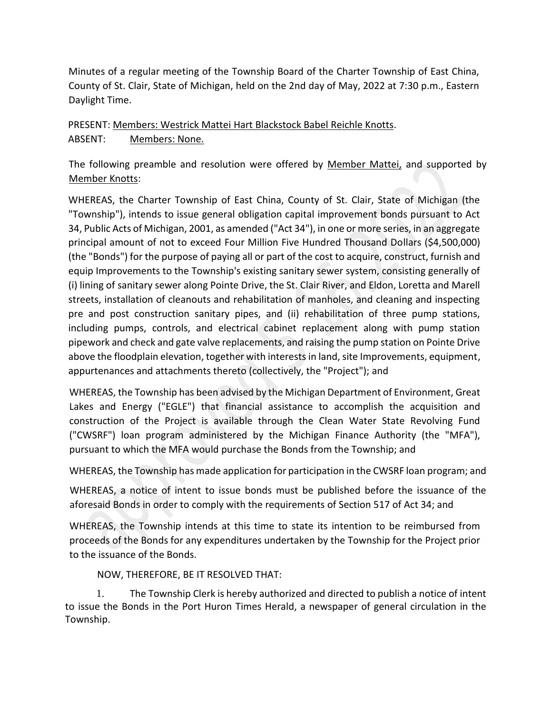Minutes of a regular meeting of the Township Board of the Charter Township of East China, County of St. Clair, State of Michigan, held on the 2nd day of May, 2022 at 7:30 p.m., Eastern Daylight Time.

# PRESENT: Members: Westrick Mattei Hart Blackstock Babel Reichle Knotts. ABSENT: Members: None.

The following preamble and resolution were offered by Member Mattei, and supported by Member Knotts:

WHEREAS, the Charter Township of East China, County of St. Clair, State of Michigan (the "Township"), intends to issue general obligation capital improvement bonds pursuant to Act 34, Public Acts of Michigan, 2001, as amended ("Act 34"), in one or more series, in an aggregate principal amount of not to exceed Four Million Five Hundred Thousand Dollars (\$4,500,000) (the "Bonds") for the purpose of paying all or part of the cost to acquire, construct, furnish and equip Improvements to the Township's existing sanitary sewer system, consisting generally of (i) lining of sanitary sewer along Pointe Drive, the St. Clair River, and Eldon, Loretta and Marell streets, installation of cleanouts and rehabilitation of manholes, and cleaning and inspecting pre and post construction sanitary pipes, and (ii) rehabilitation of three pump stations, including pumps, controls, and electrical cabinet replacement along with pump station pipework and check and gate valve replacements, and raising the pump station on Pointe Drive above the floodplain elevation, together with interests in land, site Improvements, equipment, appurtenances and attachments thereto (collectively, the "Project"); and

WHEREAS, the Township has been advised by the Michigan Department of Environment, Great Lakes and Energy ("EGLE") that financial assistance to accomplish the acquisition and construction of the Project is available through the Clean Water State Revolving Fund ("CWSRF") loan program administered by the Michigan Finance Authority (the "MFA"), pursuant to which the MFA would purchase the Bonds from the Township; and

WHEREAS, the Township has made application for participation in the CWSRF loan program; and

WHEREAS, a notice of intent to issue bonds must be published before the issuance of the aforesaid Bonds in order to comply with the requirements of Section 517 of Act 34; and

WHEREAS, the Township intends at this time to state its intention to be reimbursed from proceeds of the Bonds for any expenditures undertaken by the Township for the Project prior to the issuance of the Bonds.

NOW, THEREFORE, BE IT RESOLVED THAT:

1. The Township Clerk is hereby authorized and directed to publish a notice of intent to issue the Bonds in the Port Huron Times Herald, a newspaper of general circulation in the Township.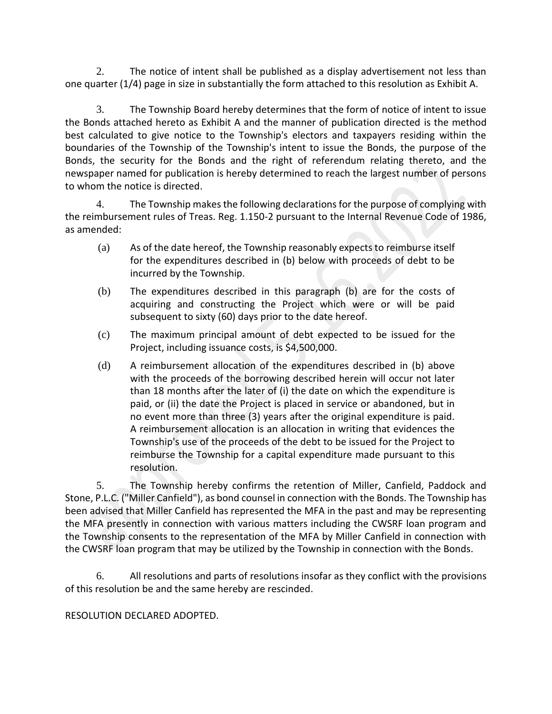2. The notice of intent shall be published as a display advertisement not less than one quarter (1/4) page in size in substantially the form attached to this resolution as Exhibit A.

3. The Township Board hereby determines that the form of notice of intent to issue the Bonds attached hereto as Exhibit A and the manner of publication directed is the method best calculated to give notice to the Township's electors and taxpayers residing within the boundaries of the Township of the Township's intent to issue the Bonds, the purpose of the Bonds, the security for the Bonds and the right of referendum relating thereto, and the newspaper named for publication is hereby determined to reach the largest number of persons to whom the notice is directed.

4. The Township makes the following declarations for the purpose of complying with the reimbursement rules of Treas. Reg. 1.150-2 pursuant to the Internal Revenue Code of 1986, as amended:

- (a) As of the date hereof, the Township reasonably expects to reimburse itself for the expenditures described in (b) below with proceeds of debt to be incurred by the Township.
- (b) The expenditures described in this paragraph (b) are for the costs of acquiring and constructing the Project which were or will be paid subsequent to sixty (60) days prior to the date hereof.
- (c) The maximum principal amount of debt expected to be issued for the Project, including issuance costs, is \$4,500,000.
- (d) A reimbursement allocation of the expenditures described in (b) above with the proceeds of the borrowing described herein will occur not later than 18 months after the later of (i) the date on which the expenditure is paid, or (ii) the date the Project is placed in service or abandoned, but in no event more than three (3) years after the original expenditure is paid. A reimbursement allocation is an allocation in writing that evidences the Township's use of the proceeds of the debt to be issued for the Project to reimburse the Township for a capital expenditure made pursuant to this resolution.

5. The Township hereby confirms the retention of Miller, Canfield, Paddock and Stone, P.L.C. ("Miller Canfield"), as bond counsel in connection with the Bonds. The Township has been advised that Miller Canfield has represented the MFA in the past and may be representing the MFA presently in connection with various matters including the CWSRF loan program and the Township consents to the representation of the MFA by Miller Canfield in connection with the CWSRF loan program that may be utilized by the Township in connection with the Bonds.

6. All resolutions and parts of resolutions insofar as they conflict with the provisions of this resolution be and the same hereby are rescinded.

## RESOLUTION DECLARED ADOPTED.